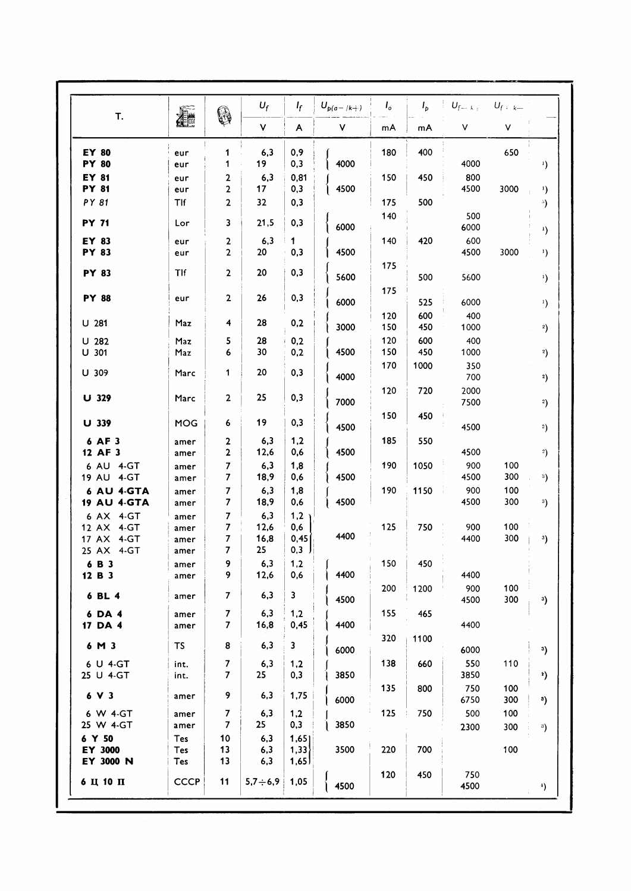| T.                                                  |                              | 0                       | $U_f$                                  | $I_f$                         | $U_{p(a- k )}$ | $I_{o}$    | $I_{p}$    | $U_{f-k+1}$<br>۷ | $U_f : k$  |                              |
|-----------------------------------------------------|------------------------------|-------------------------|----------------------------------------|-------------------------------|----------------|------------|------------|------------------|------------|------------------------------|
|                                                     | <b>Alle</b>                  |                         | ۷                                      | A                             | ٧              | mA         | mA         |                  | ٧          |                              |
| <b>EY 80</b><br><b>PY 80</b>                        | eur<br>eur                   | 1<br>1                  | 6,3<br>19                              | 0,9<br>0,3                    | 4000           | 180        | 400        | 4000             | 650        | $\mathbf{E}$                 |
| EY 81<br><b>PY 81</b>                               | eur<br>eur                   | 2<br>2                  | 6,3<br>17                              | 0,81<br>0,3                   | 4500           | 150        | 450        | 800<br>4500      | 3000       | $\mathbf{r}$                 |
| PY 81                                               | Tlf                          | 2                       | 32                                     | 0,3                           |                | 175        | 500        |                  |            | $\mathcal{D}$                |
| <b>PY 71</b>                                        | Lor                          | 3                       | 21,5                                   | 0,3                           | 6000           | 140        |            | 500<br>6000      |            | $\mathbf{I}$                 |
| EY 83<br><b>PY 83</b>                               | eur<br>eur                   | 2<br>$\mathbf{2}$       | 6,3<br>20                              | 1<br>0,3                      | 4500           | 140        | 420        | 600<br>4500      | 3000       | $\mathbf{1}$                 |
| <b>PY 83</b>                                        | Tlf                          | $\overline{\mathbf{2}}$ | 20                                     | 0,3                           | 5600           | 175        | 500        | 5600             |            | $\mathbf{I}$                 |
| <b>PY 88</b>                                        | eur                          | $\mathbf{2}$            | 26                                     | 0,3                           | 6000           | 175        | 525        | 6000             |            | $\left( \frac{1}{2} \right)$ |
| U 281                                               | Maz                          | 4                       | 28                                     | 0,2                           | 3000           | 120<br>150 | 600<br>450 | 400<br>1000      |            | 2)                           |
| $U$ 282<br>U 301                                    | Maz<br>Maz                   | 5<br>6                  | 28<br>30                               | 0,2<br>0,2                    | 4500           | 120<br>150 | 600<br>450 | 400<br>1000      |            | $^{2}$                       |
| U 309                                               | Marc                         | 1                       | 20                                     | 0,3                           | 4000           | 170        | 1000       | 350<br>700       |            | $^{2}$                       |
| U 329                                               | Marc                         | $\overline{2}$          | 25                                     | 0,3                           | 7000           | 120        | 720        | 2000<br>7500     |            | $^{2}$                       |
| U 339                                               | <b>MOG</b>                   | 6                       | 19                                     | 0,3                           | 4500           | 150        | 450        | 4500             |            | $^{2}$                       |
| 6 AF 3<br>12 AF 3                                   | amer<br>amer                 | 2<br>$\mathbf 2$        | 6,3<br>12,6                            | 1,2<br>0,6                    | 4500           | 185        | 550        | 4500             |            | $^{2}$                       |
| 6 AU 4-GT<br>19 AU 4-GT                             | amer<br>amer                 | 7<br>7                  | 6,3<br>18,9                            | 1,8<br>0,6                    | 4500           | 190        | 1050       | 900<br>4500      | 100<br>300 | $^3)$                        |
| <b>6 AU 4-GTA</b><br><b>19 AU 4-GTA</b>             | amer<br>amer                 | 7<br>7                  | 6,3<br>18,9                            | 1,8<br>0,6                    | 4500           | 190        | 1150       | 900<br>4500      | 100<br>300 | 3)                           |
| 6 AX 4-GT<br>12 AX 4-GT<br>17 AX 4-GT<br>25 AX 4-GT | amer<br>amer<br>amer<br>amer | 7<br>7<br>7<br>7        | 6,3<br>12,6<br>16,8<br>25 <sub>2</sub> | 1,2<br>0,6<br>0,45<br>$0,3$ J | 4400           | 125        | 750        | 900<br>4400      | 100<br>300 | $^{3}$                       |
| 6 B 3<br>12 B 3                                     | amer<br>amer                 | 9<br>9                  | 6,3<br>12,6                            | 1,2<br>0,6                    | 4400           | 150        | 450        | 4400             |            |                              |
| 6 BL 4                                              | amer                         | $\overline{7}$          | 6,3                                    | $\mathbf{3}$                  | 4500           | 200        | 1200       | 900<br>4500      | 100<br>300 | 3)                           |
| 6 DA 4<br>17 DA 4                                   | amer<br>amer                 | 7<br>$\overline{7}$     | 6,3<br>16,8                            | 1,2<br>0,45                   | 4400           | 155        | 465        | 4400             |            |                              |
| 6 M 3                                               | TS                           | 8                       | 6,3                                    | $\mathbf{3}$                  | 6000           | 320        | 1100       | 6000             |            | 3)                           |
| 6 U 4-GT<br>25 U 4-GT                               | int.<br>int.                 | 7<br>$\overline{7}$     | 6,3<br>25                              | 1,2<br>0,3                    | 3850           | 138        | 660        | 550<br>3850      | 110        | *)                           |
| 6 V 3                                               | amer                         | 9                       | 6,3                                    | 1,75                          | 6000           | 135        | 800        | 750<br>6750      | 100<br>300 | $^{\circ}$                   |
| 6 W 4-GT<br>25 W 4-GT                               | amer<br>amer                 | 7<br>$\overline{7}$     | 6,3<br>25                              | 1,2<br>0,3                    | 3850           | 125        | 750        | 500<br>2300      | 100<br>300 | $^3)$                        |
| 6 Y 50<br>EY 3000<br>EY 3000 N                      | <b>Tes</b><br>Tes<br>Tes     | 10<br>13<br>13          | 6,3<br>6,3<br>6,3                      | 1,65<br>1,33<br>1,65          | 3500           | 220        | 700        |                  | 100        |                              |
| $6$ Ц 10 П                                          | <b>CCCP</b>                  | 11                      | $5,7 \div 6,9$                         | 1,05                          | 4500           | 120        | 450        | 750<br>4500      |            | *).                          |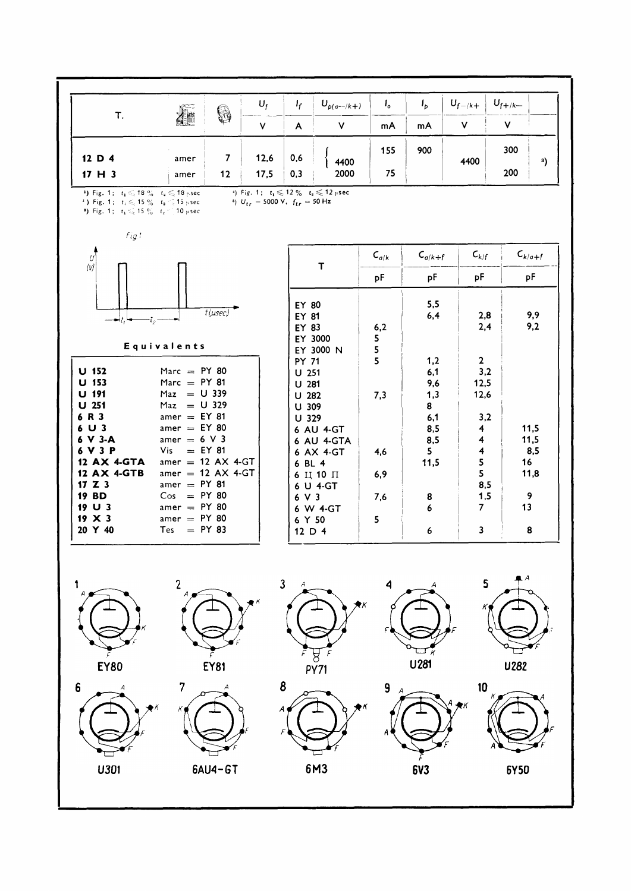

**6Y50** 

**6V3** 

6M3

U301

6AU4-GT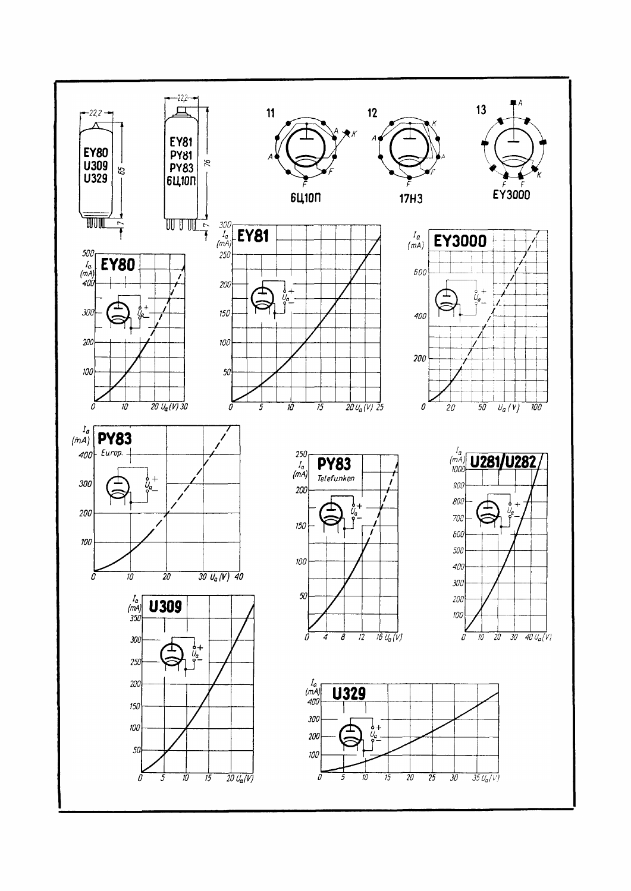